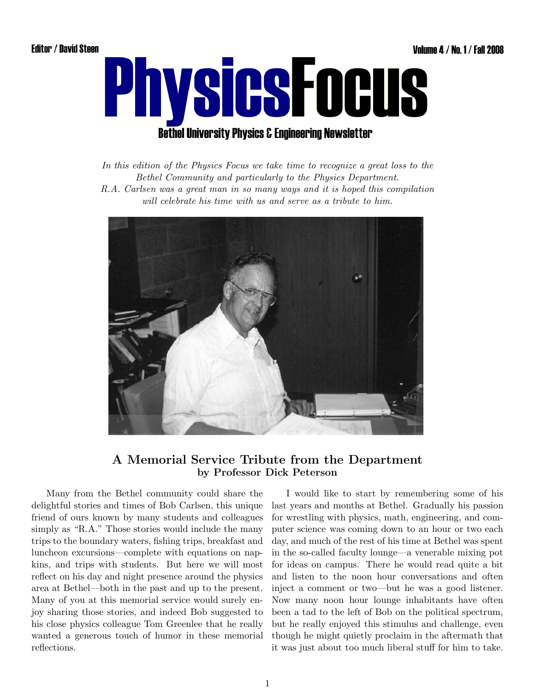

In this edition of the Physics Focus we take time to recognize a great loss to the Bethel Community and particularly to the Physics Department.

R.A. Carlsen was a great man in so many ways and it is hoped this compilation will celebrate his time with us and serve as a tribute to him.



### A Memorial Service Tribute from the Department by Professor Dick Peterson

Many from the Bethel community could share the delightful stories and times of Bob Carlsen, this unique friend of ours known by many students and colleagues simply as "R.A." Those stories would include the many trips to the boundary waters, fishing trips, breakfast and luncheon excursions—complete with equations on napkins, and trips with students. But here we will most reflect on his day and night presence around the physics area at Bethel—both in the past and up to the present. Many of you at this memorial service would surely enjoy sharing those stories, and indeed Bob suggested to his close physics colleague Tom Greenlee that he really wanted a generous touch of humor in these memorial reflections.

I would like to start by remembering some of his last years and months at Bethel. Gradually his passion for wrestling with physics, math, engineering, and computer science was coming down to an hour or two each day, and much of the rest of his time at Bethel was spent in the so-called faculty lounge—a venerable mixing pot for ideas on campus. There he would read quite a bit and listen to the noon hour conversations and often inject a comment or two—but he was a good listener. Now many noon hour lounge inhabitants have often been a tad to the left of Bob on the political spectrum, but he really enjoyed this stimulus and challenge, even though he might quietly proclaim in the aftermath that it was just about too much liberal stuff for him to take.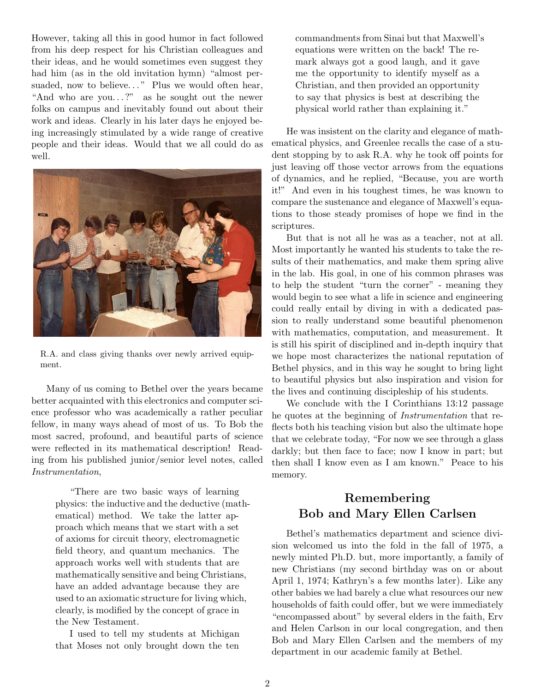However, taking all this in good humor in fact followed from his deep respect for his Christian colleagues and their ideas, and he would sometimes even suggest they had him (as in the old invitation hymn) "almost persuaded, now to believe..." Plus we would often hear, "And who are you...?" as he sought out the newer folks on campus and inevitably found out about their work and ideas. Clearly in his later days he enjoyed being increasingly stimulated by a wide range of creative people and their ideas. Would that we all could do as well.



R.A. and class giving thanks over newly arrived equipment.

Many of us coming to Bethel over the years became better acquainted with this electronics and computer science professor who was academically a rather peculiar fellow, in many ways ahead of most of us. To Bob the most sacred, profound, and beautiful parts of science were reflected in its mathematical description! Reading from his published junior/senior level notes, called Instrumentation,

> "There are two basic ways of learning physics: the inductive and the deductive (mathematical) method. We take the latter approach which means that we start with a set of axioms for circuit theory, electromagnetic field theory, and quantum mechanics. The approach works well with students that are mathematically sensitive and being Christians, have an added advantage because they are used to an axiomatic structure for living which, clearly, is modified by the concept of grace in the New Testament.

I used to tell my students at Michigan that Moses not only brought down the ten

commandments from Sinai but that Maxwell's equations were written on the back! The remark always got a good laugh, and it gave me the opportunity to identify myself as a Christian, and then provided an opportunity to say that physics is best at describing the physical world rather than explaining it."

He was insistent on the clarity and elegance of mathematical physics, and Greenlee recalls the case of a student stopping by to ask R.A. why he took off points for just leaving off those vector arrows from the equations of dynamics, and he replied, "Because, you are worth it!" And even in his toughest times, he was known to compare the sustenance and elegance of Maxwell's equations to those steady promises of hope we find in the scriptures.

But that is not all he was as a teacher, not at all. Most importantly he wanted his students to take the results of their mathematics, and make them spring alive in the lab. His goal, in one of his common phrases was to help the student "turn the corner" - meaning they would begin to see what a life in science and engineering could really entail by diving in with a dedicated passion to really understand some beautiful phenomenon with mathematics, computation, and measurement. It is still his spirit of disciplined and in-depth inquiry that we hope most characterizes the national reputation of Bethel physics, and in this way he sought to bring light to beautiful physics but also inspiration and vision for the lives and continuing discipleship of his students.

We conclude with the I Corinthians 13:12 passage he quotes at the beginning of Instrumentation that reflects both his teaching vision but also the ultimate hope that we celebrate today, "For now we see through a glass darkly; but then face to face; now I know in part; but then shall I know even as I am known." Peace to his memory.

# Remembering Bob and Mary Ellen Carlsen

Bethel's mathematics department and science division welcomed us into the fold in the fall of 1975, a newly minted Ph.D. but, more importantly, a family of new Christians (my second birthday was on or about April 1, 1974; Kathryn's a few months later). Like any other babies we had barely a clue what resources our new households of faith could offer, but we were immediately "encompassed about" by several elders in the faith, Erv and Helen Carlson in our local congregation, and then Bob and Mary Ellen Carlsen and the members of my department in our academic family at Bethel.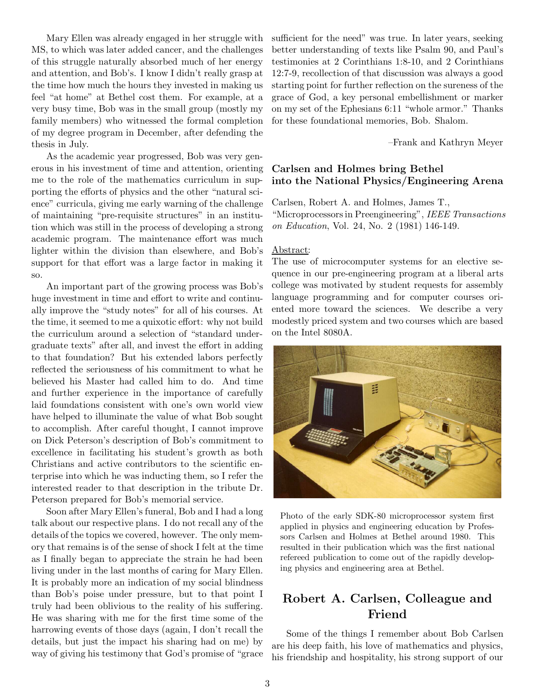Mary Ellen was already engaged in her struggle with MS, to which was later added cancer, and the challenges of this struggle naturally absorbed much of her energy and attention, and Bob's. I know I didn't really grasp at the time how much the hours they invested in making us feel "at home" at Bethel cost them. For example, at a very busy time, Bob was in the small group (mostly my family members) who witnessed the formal completion of my degree program in December, after defending the thesis in July.

As the academic year progressed, Bob was very generous in his investment of time and attention, orienting me to the role of the mathematics curriculum in supporting the efforts of physics and the other "natural science" curricula, giving me early warning of the challenge of maintaining "pre-requisite structures" in an institution which was still in the process of developing a strong academic program. The maintenance effort was much lighter within the division than elsewhere, and Bob's support for that effort was a large factor in making it so.

An important part of the growing process was Bob's huge investment in time and effort to write and continually improve the "study notes" for all of his courses. At the time, it seemed to me a quixotic effort: why not build the curriculum around a selection of "standard undergraduate texts" after all, and invest the effort in adding to that foundation? But his extended labors perfectly reflected the seriousness of his commitment to what he believed his Master had called him to do. And time and further experience in the importance of carefully laid foundations consistent with one's own world view have helped to illuminate the value of what Bob sought to accomplish. After careful thought, I cannot improve on Dick Peterson's description of Bob's commitment to excellence in facilitating his student's growth as both Christians and active contributors to the scientific enterprise into which he was inducting them, so I refer the interested reader to that description in the tribute Dr. Peterson prepared for Bob's memorial service.

Soon after Mary Ellen's funeral, Bob and I had a long talk about our respective plans. I do not recall any of the details of the topics we covered, however. The only memory that remains is of the sense of shock I felt at the time as I finally began to appreciate the strain he had been living under in the last months of caring for Mary Ellen. It is probably more an indication of my social blindness than Bob's poise under pressure, but to that point I truly had been oblivious to the reality of his suffering. He was sharing with me for the first time some of the harrowing events of those days (again, I don't recall the details, but just the impact his sharing had on me) by way of giving his testimony that God's promise of "grace sufficient for the need" was true. In later years, seeking better understanding of texts like Psalm 90, and Paul's testimonies at 2 Corinthians 1:8-10, and 2 Corinthians 12:7-9, recollection of that discussion was always a good starting point for further reflection on the sureness of the grace of God, a key personal embellishment or marker on my set of the Ephesians 6:11 "whole armor." Thanks for these foundational memories, Bob. Shalom.

–Frank and Kathryn Meyer

### Carlsen and Holmes bring Bethel into the National Physics/Engineering Arena

Carlsen, Robert A. and Holmes, James T., "Microprocessors in Preengineering", IEEE Transactions on Education, Vol. 24, No. 2 (1981) 146-149.

#### Abstract:

The use of microcomputer systems for an elective sequence in our pre-engineering program at a liberal arts college was motivated by student requests for assembly language programming and for computer courses oriented more toward the sciences. We describe a very modestly priced system and two courses which are based on the Intel 8080A.



Photo of the early SDK-80 microprocessor system first applied in physics and engineering education by Professors Carlsen and Holmes at Bethel around 1980. This resulted in their publication which was the first national refereed publication to come out of the rapidly developing physics and engineering area at Bethel.

### Robert A. Carlsen, Colleague and Friend

Some of the things I remember about Bob Carlsen are his deep faith, his love of mathematics and physics, his friendship and hospitality, his strong support of our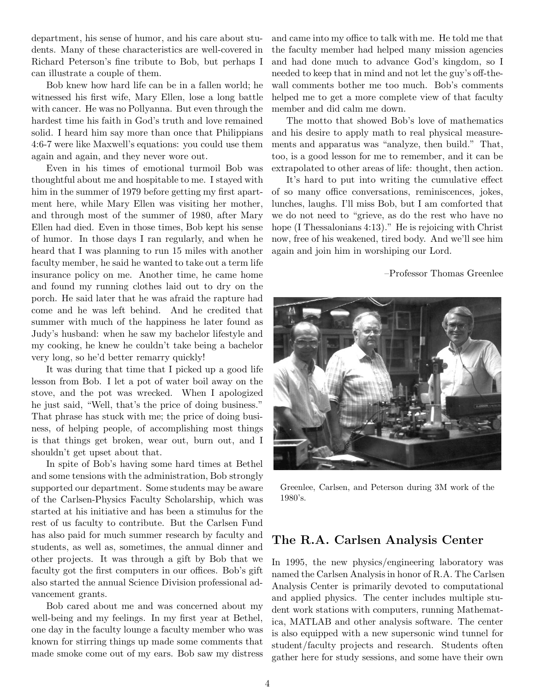department, his sense of humor, and his care about students. Many of these characteristics are well-covered in Richard Peterson's fine tribute to Bob, but perhaps I can illustrate a couple of them.

Bob knew how hard life can be in a fallen world; he witnessed his first wife, Mary Ellen, lose a long battle with cancer. He was no Pollyanna. But even through the hardest time his faith in God's truth and love remained solid. I heard him say more than once that Philippians 4:6-7 were like Maxwell's equations: you could use them again and again, and they never wore out.

Even in his times of emotional turmoil Bob was thoughtful about me and hospitable to me. I stayed with him in the summer of 1979 before getting my first apartment here, while Mary Ellen was visiting her mother, and through most of the summer of 1980, after Mary Ellen had died. Even in those times, Bob kept his sense of humor. In those days I ran regularly, and when he heard that I was planning to run 15 miles with another faculty member, he said he wanted to take out a term life insurance policy on me. Another time, he came home and found my running clothes laid out to dry on the porch. He said later that he was afraid the rapture had come and he was left behind. And he credited that summer with much of the happiness he later found as Judy's husband: when he saw my bachelor lifestyle and my cooking, he knew he couldn't take being a bachelor very long, so he'd better remarry quickly!

It was during that time that I picked up a good life lesson from Bob. I let a pot of water boil away on the stove, and the pot was wrecked. When I apologized he just said, "Well, that's the price of doing business." That phrase has stuck with me; the price of doing business, of helping people, of accomplishing most things is that things get broken, wear out, burn out, and I shouldn't get upset about that.

In spite of Bob's having some hard times at Bethel and some tensions with the administration, Bob strongly supported our department. Some students may be aware of the Carlsen-Physics Faculty Scholarship, which was started at his initiative and has been a stimulus for the rest of us faculty to contribute. But the Carlsen Fund has also paid for much summer research by faculty and students, as well as, sometimes, the annual dinner and other projects. It was through a gift by Bob that we faculty got the first computers in our offices. Bob's gift also started the annual Science Division professional advancement grants.

Bob cared about me and was concerned about my well-being and my feelings. In my first year at Bethel, one day in the faculty lounge a faculty member who was known for stirring things up made some comments that made smoke come out of my ears. Bob saw my distress

and came into my office to talk with me. He told me that the faculty member had helped many mission agencies and had done much to advance God's kingdom, so I needed to keep that in mind and not let the guy's off-thewall comments bother me too much. Bob's comments helped me to get a more complete view of that faculty member and did calm me down.

The motto that showed Bob's love of mathematics and his desire to apply math to real physical measurements and apparatus was "analyze, then build." That, too, is a good lesson for me to remember, and it can be extrapolated to other areas of life: thought, then action.

It's hard to put into writing the cumulative effect of so many office conversations, reminiscences, jokes, lunches, laughs. I'll miss Bob, but I am comforted that we do not need to "grieve, as do the rest who have no hope (I Thessalonians 4:13)." He is rejoicing with Christ now, free of his weakened, tired body. And we'll see him again and join him in worshiping our Lord.

–Professor Thomas Greenlee



Greenlee, Carlsen, and Peterson during 3M work of the 1980's.

### The R.A. Carlsen Analysis Center

In 1995, the new physics/engineering laboratory was named the Carlsen Analysis in honor of R.A. The Carlsen Analysis Center is primarily devoted to computational and applied physics. The center includes multiple student work stations with computers, running Mathematica, MATLAB and other analysis software. The center is also equipped with a new supersonic wind tunnel for student/faculty projects and research. Students often gather here for study sessions, and some have their own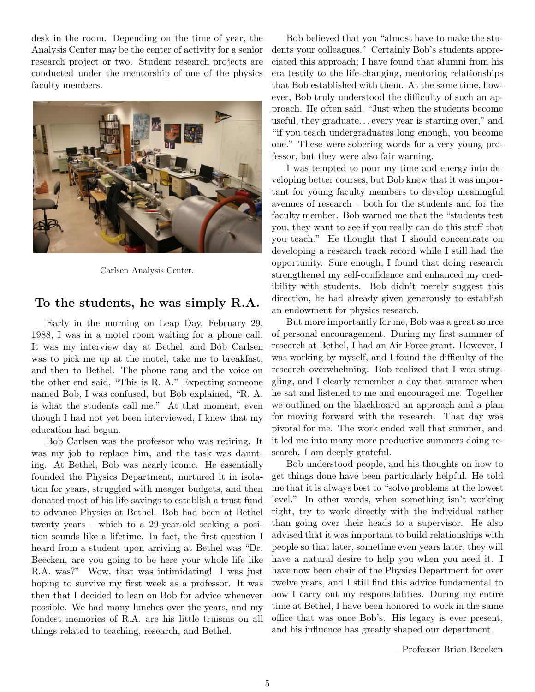desk in the room. Depending on the time of year, the Analysis Center may be the center of activity for a senior research project or two. Student research projects are conducted under the mentorship of one of the physics faculty members.



Carlsen Analysis Center.

#### To the students, he was simply R.A.

Early in the morning on Leap Day, February 29, 1988, I was in a motel room waiting for a phone call. It was my interview day at Bethel, and Bob Carlsen was to pick me up at the motel, take me to breakfast, and then to Bethel. The phone rang and the voice on the other end said, "This is R. A." Expecting someone named Bob, I was confused, but Bob explained, "R. A. is what the students call me." At that moment, even though I had not yet been interviewed, I knew that my education had begun.

Bob Carlsen was the professor who was retiring. It was my job to replace him, and the task was daunting. At Bethel, Bob was nearly iconic. He essentially founded the Physics Department, nurtured it in isolation for years, struggled with meager budgets, and then donated most of his life-savings to establish a trust fund to advance Physics at Bethel. Bob had been at Bethel twenty years – which to a 29-year-old seeking a position sounds like a lifetime. In fact, the first question I heard from a student upon arriving at Bethel was "Dr. Beecken, are you going to be here your whole life like R.A. was?" Wow, that was intimidating! I was just hoping to survive my first week as a professor. It was then that I decided to lean on Bob for advice whenever possible. We had many lunches over the years, and my fondest memories of R.A. are his little truisms on all things related to teaching, research, and Bethel.

Bob believed that you "almost have to make the students your colleagues." Certainly Bob's students appreciated this approach; I have found that alumni from his era testify to the life-changing, mentoring relationships that Bob established with them. At the same time, however, Bob truly understood the difficulty of such an approach. He often said, "Just when the students become useful, they graduate. . . every year is starting over," and "if you teach undergraduates long enough, you become one." These were sobering words for a very young professor, but they were also fair warning.

I was tempted to pour my time and energy into developing better courses, but Bob knew that it was important for young faculty members to develop meaningful avenues of research – both for the students and for the faculty member. Bob warned me that the "students test you, they want to see if you really can do this stuff that you teach." He thought that I should concentrate on developing a research track record while I still had the opportunity. Sure enough, I found that doing research strengthened my self-confidence and enhanced my credibility with students. Bob didn't merely suggest this direction, he had already given generously to establish an endowment for physics research.

But more importantly for me, Bob was a great source of personal encouragement. During my first summer of research at Bethel, I had an Air Force grant. However, I was working by myself, and I found the difficulty of the research overwhelming. Bob realized that I was struggling, and I clearly remember a day that summer when he sat and listened to me and encouraged me. Together we outlined on the blackboard an approach and a plan for moving forward with the research. That day was pivotal for me. The work ended well that summer, and it led me into many more productive summers doing research. I am deeply grateful.

Bob understood people, and his thoughts on how to get things done have been particularly helpful. He told me that it is always best to "solve problems at the lowest level." In other words, when something isn't working right, try to work directly with the individual rather than going over their heads to a supervisor. He also advised that it was important to build relationships with people so that later, sometime even years later, they will have a natural desire to help you when you need it. I have now been chair of the Physics Department for over twelve years, and I still find this advice fundamental to how I carry out my responsibilities. During my entire time at Bethel, I have been honored to work in the same office that was once Bob's. His legacy is ever present, and his influence has greatly shaped our department.

–Professor Brian Beecken